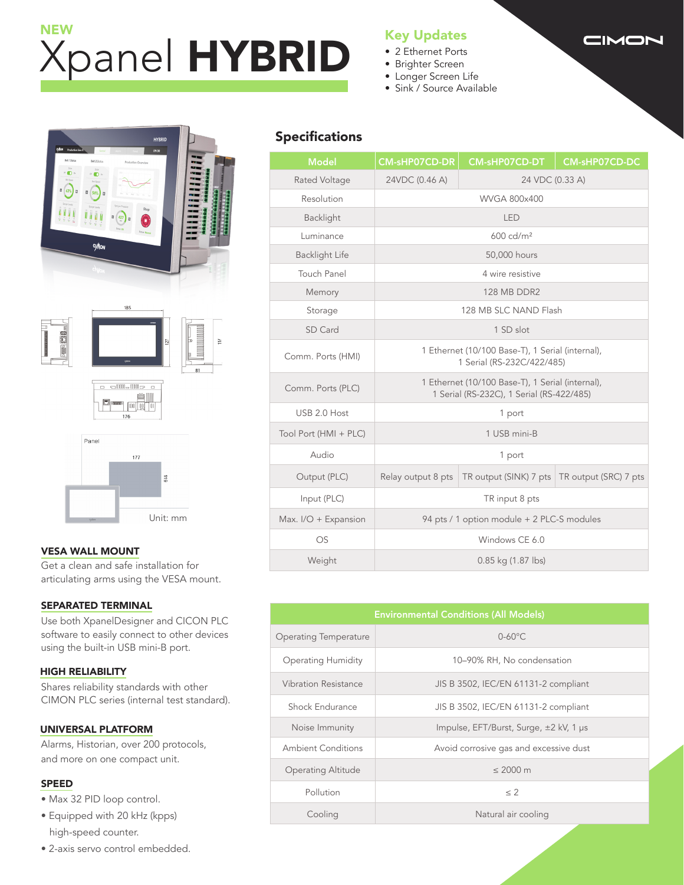# Xpanel HYBRID NEW<br>New York Life Him Alman House Him Key Updates

- 2 Ethernet Ports
- Brighter Screen
- Longer Screen Life
- Sink / Source Available



### VESA WALL MOUNT

Get a clean and safe installation for articulating arms using the VESA mount.

#### SEPARATED TERMINAL

Use both XpanelDesigner and CICON PLC software to easily connect to other devices using the built-in USB mini-B port.

#### HIGH RELIABILITY

Shares reliability standards with other CIMON PLC series (internal test standard).

#### UNIVERSAL PLATFORM

Alarms, Historian, over 200 protocols, and more on one compact unit.

#### SPEED

- Max 32 PID loop control.
- Equipped with 20 kHz (kpps) high-speed counter.
- 2-axis servo control embedded.

# Specifications

| <b>Model</b>          | <b>CM-sHP07CD-DR</b>                                                                          | <b>CM-sHP07CD-DT</b>                           | <b>CM-sHP07CD-DC</b> |  |  |
|-----------------------|-----------------------------------------------------------------------------------------------|------------------------------------------------|----------------------|--|--|
| Rated Voltage         | 24VDC (0.46 A)<br>24 VDC (0.33 A)                                                             |                                                |                      |  |  |
| Resolution            | <b>WVGA 800x400</b>                                                                           |                                                |                      |  |  |
| Backlight             | <b>LED</b>                                                                                    |                                                |                      |  |  |
| Luminance             | $600$ cd/m <sup>2</sup>                                                                       |                                                |                      |  |  |
| <b>Backlight Life</b> | 50,000 hours                                                                                  |                                                |                      |  |  |
| <b>Touch Panel</b>    | 4 wire resistive                                                                              |                                                |                      |  |  |
| Memory                | <b>128 MB DDR2</b>                                                                            |                                                |                      |  |  |
| Storage               | 128 MB SLC NAND Flash                                                                         |                                                |                      |  |  |
| SD Card               | 1 SD slot                                                                                     |                                                |                      |  |  |
| Comm. Ports (HMI)     | 1 Ethernet (10/100 Base-T), 1 Serial (internal),<br>1 Serial (RS-232C/422/485)                |                                                |                      |  |  |
| Comm. Ports (PLC)     | 1 Ethernet (10/100 Base-T), 1 Serial (internal),<br>1 Serial (RS-232C), 1 Serial (RS-422/485) |                                                |                      |  |  |
| USB 2.0 Host          | 1 port                                                                                        |                                                |                      |  |  |
| Tool Port (HMI + PLC) | 1 USB mini-B                                                                                  |                                                |                      |  |  |
| Audio                 | 1 port                                                                                        |                                                |                      |  |  |
| Output (PLC)          | Relay output 8 pts                                                                            | TR output (SINK) 7 pts   TR output (SRC) 7 pts |                      |  |  |
| Input (PLC)           | TR input 8 pts                                                                                |                                                |                      |  |  |
| Max. I/O + Expansion  | 94 pts / 1 option module + 2 PLC-S modules                                                    |                                                |                      |  |  |
| OS                    | Windows CE 6.0                                                                                |                                                |                      |  |  |
| Weight                | 0.85 kg (1.87 lbs)                                                                            |                                                |                      |  |  |

| <b>Environmental Conditions (All Models)</b> |                                        |  |  |  |
|----------------------------------------------|----------------------------------------|--|--|--|
| Operating Temperature                        | $0-60^{\circ}$ C                       |  |  |  |
| <b>Operating Humidity</b>                    | 10–90% RH, No condensation             |  |  |  |
| Vibration Resistance                         | JIS B 3502, IEC/EN 61131-2 compliant   |  |  |  |
| Shock Endurance                              | JIS B 3502, IEC/EN 61131-2 compliant   |  |  |  |
| Noise Immunity                               | Impulse, EFT/Burst, Surge, ±2 kV, 1 µs |  |  |  |
| <b>Ambient Conditions</b>                    | Avoid corrosive gas and excessive dust |  |  |  |
| <b>Operating Altitude</b>                    | $\leq 2000$ m                          |  |  |  |
| Pollution                                    | $\leq$ 2                               |  |  |  |
| Cooling                                      | Natural air cooling                    |  |  |  |